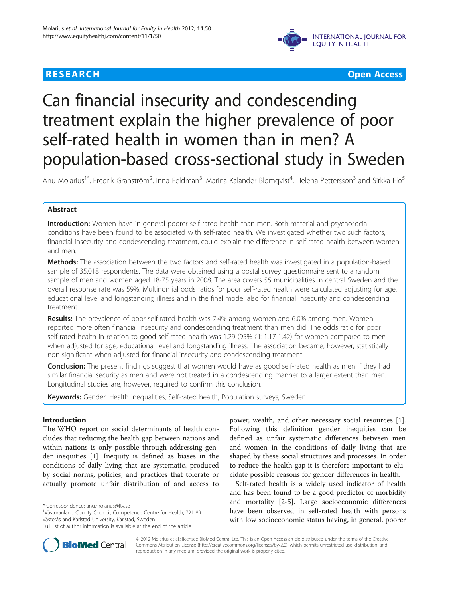## **RESEARCH CHE Open Access**



# Can financial insecurity and condescending treatment explain the higher prevalence of poor self-rated health in women than in men? A population-based cross-sectional study in Sweden

Anu Molarius<sup>1\*</sup>, Fredrik Granström<sup>2</sup>, Inna Feldman<sup>3</sup>, Marina Kalander Blomqvist<sup>4</sup>, Helena Pettersson<sup>3</sup> and Sirkka Elo<sup>5</sup>

## Abstract

Introduction: Women have in general poorer self-rated health than men. Both material and psychosocial conditions have been found to be associated with self-rated health. We investigated whether two such factors, financial insecurity and condescending treatment, could explain the difference in self-rated health between women and men.

Methods: The association between the two factors and self-rated health was investigated in a population-based sample of 35,018 respondents. The data were obtained using a postal survey questionnaire sent to a random sample of men and women aged 18-75 years in 2008. The area covers 55 municipalities in central Sweden and the overall response rate was 59%. Multinomial odds ratios for poor self-rated health were calculated adjusting for age, educational level and longstanding illness and in the final model also for financial insecurity and condescending treatment.

Results: The prevalence of poor self-rated health was 7.4% among women and 6.0% among men. Women reported more often financial insecurity and condescending treatment than men did. The odds ratio for poor self-rated health in relation to good self-rated health was 1.29 (95% CI: 1.17-1.42) for women compared to men when adjusted for age, educational level and longstanding illness. The association became, however, statistically non-significant when adjusted for financial insecurity and condescending treatment.

**Conclusion:** The present findings suggest that women would have as good self-rated health as men if they had similar financial security as men and were not treated in a condescending manner to a larger extent than men. Longitudinal studies are, however, required to confirm this conclusion.

Keywords: Gender, Health inequalities, Self-rated health, Population surveys, Sweden

## Introduction

The WHO report on social determinants of health concludes that reducing the health gap between nations and within nations is only possible through addressing gender inequities [\[1](#page-5-0)]. Inequity is defined as biases in the conditions of daily living that are systematic, produced by social norms, policies, and practices that tolerate or actually promote unfair distribution of and access to

power, wealth, and other necessary social resources [\[1](#page-5-0)]. Following this definition gender inequities can be defined as unfair systematic differences between men and women in the conditions of daily living that are shaped by these social structures and processes. In order to reduce the health gap it is therefore important to elucidate possible reasons for gender differences in health.

Self-rated health is a widely used indicator of health and has been found to be a good predictor of morbidity and mortality [\[2-5](#page-5-0)]. Large socioeconomic differences have been observed in self-rated health with persons with low socioeconomic status having, in general, poorer



© 2012 Molarius et al.; licensee BioMed Central Ltd. This is an Open Access article distributed under the terms of the Creative Commons Attribution License [\(http://creativecommons.org/licenses/by/2.0\)](http://creativecommons.org/licenses/by/2.0), which permits unrestricted use, distribution, and reproduction in any medium, provided the original work is properly cited.

<sup>\*</sup> Correspondence: [anu.molarius@ltv.se](mailto:anu.molarius@ltv.se) <sup>1</sup>

Västmanland County Council, Competence Centre for Health, 721 89 Västerås and Karlstad University, Karlstad, Sweden

Full list of author information is available at the end of the article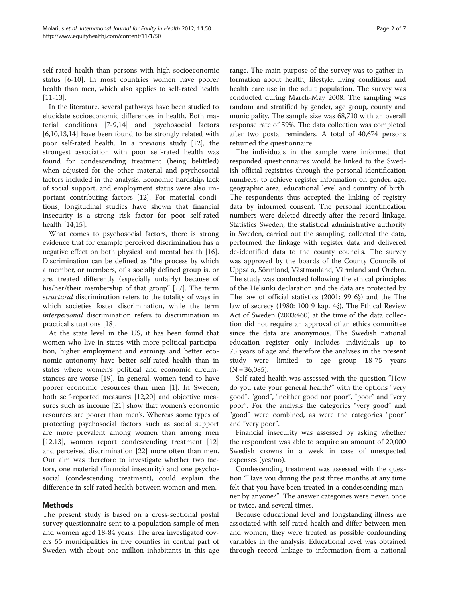self-rated health than persons with high socioeconomic status [\[6](#page-5-0)-[10\]](#page-5-0). In most countries women have poorer health than men, which also applies to self-rated health [[11-13](#page-5-0)].

In the literature, several pathways have been studied to elucidate socioeconomic differences in health. Both material conditions [\[7](#page-5-0)-[9,14\]](#page-5-0) and psychosocial factors [[6,10,13,14\]](#page-5-0) have been found to be strongly related with poor self-rated health. In a previous study [\[12](#page-5-0)], the strongest association with poor self-rated health was found for condescending treatment (being belittled) when adjusted for the other material and psychosocial factors included in the analysis. Economic hardship, lack of social support, and employment status were also important contributing factors [\[12\]](#page-5-0). For material conditions, longitudinal studies have shown that financial insecurity is a strong risk factor for poor self-rated health [[14,15\]](#page-5-0).

What comes to psychosocial factors, there is strong evidence that for example perceived discrimination has a negative effect on both physical and mental health [\[16](#page-5-0)]. Discrimination can be defined as "the process by which a member, or members, of a socially defined group is, or are, treated differently (especially unfairly) because of his/her/their membership of that group" [\[17](#page-5-0)]. The term structural discrimination refers to the totality of ways in which societies foster discrimination, while the term interpersonal discrimination refers to discrimination in practical situations [[18\]](#page-5-0).

At the state level in the US, it has been found that women who live in states with more political participation, higher employment and earnings and better economic autonomy have better self-rated health than in states where women's political and economic circumstances are worse [\[19\]](#page-5-0). In general, women tend to have poorer economic resources than men [[1\]](#page-5-0). In Sweden, both self-reported measures [\[12,20\]](#page-5-0) and objective measures such as income [[21\]](#page-5-0) show that women's economic resources are poorer than men's. Whereas some types of protecting psychosocial factors such as social support are more prevalent among women than among men [[12,13\]](#page-5-0), women report condescending treatment [[12](#page-5-0)] and perceived discrimination [[22\]](#page-5-0) more often than men. Our aim was therefore to investigate whether two factors, one material (financial insecurity) and one psychosocial (condescending treatment), could explain the difference in self-rated health between women and men.

## Methods

The present study is based on a cross-sectional postal survey questionnaire sent to a population sample of men and women aged 18-84 years. The area investigated covers 55 municipalities in five counties in central part of Sweden with about one million inhabitants in this age

range. The main purpose of the survey was to gather information about health, lifestyle, living conditions and health care use in the adult population. The survey was conducted during March-May 2008. The sampling was random and stratified by gender, age group, county and municipality. The sample size was 68,710 with an overall response rate of 59%. The data collection was completed after two postal reminders. A total of 40,674 persons returned the questionnaire.

The individuals in the sample were informed that responded questionnaires would be linked to the Swedish official registries through the personal identification numbers, to achieve register information on gender, age, geographic area, educational level and country of birth. The respondents thus accepted the linking of registry data by informed consent. The personal identification numbers were deleted directly after the record linkage. Statistics Sweden, the statistical administrative authority in Sweden, carried out the sampling, collected the data, performed the linkage with register data and delivered de-identified data to the county councils. The survey was approved by the boards of the County Councils of Uppsala, Sörmland, Västmanland, Värmland and Örebro. The study was conducted following the ethical principles of the Helsinki declaration and the data are protected by The law of official statistics (2001: 99 6}) and the The law of secrecy (1980: 100 9 kap. 4§). The Ethical Review Act of Sweden (2003:460) at the time of the data collection did not require an approval of an ethics committee since the data are anonymous. The Swedish national education register only includes individuals up to 75 years of age and therefore the analyses in the present study were limited to age group 18-75 years  $(N = 36,085)$ .

Self-rated health was assessed with the question "How do you rate your general health?" with the options "very good", "good", "neither good nor poor", "poor" and "very poor". For the analysis the categories "very good" and "good" were combined, as were the categories "poor" and "very poor".

Financial insecurity was assessed by asking whether the respondent was able to acquire an amount of 20,000 Swedish crowns in a week in case of unexpected expenses (yes/no).

Condescending treatment was assessed with the question "Have you during the past three months at any time felt that you have been treated in a condescending manner by anyone?". The answer categories were never, once or twice, and several times.

Because educational level and longstanding illness are associated with self-rated health and differ between men and women, they were treated as possible confounding variables in the analysis. Educational level was obtained through record linkage to information from a national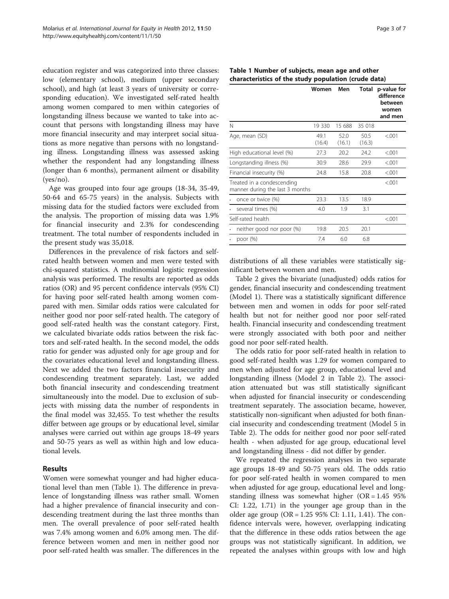education register and was categorized into three classes: low (elementary school), medium (upper secondary school), and high (at least 3 years of university or corresponding education). We investigated self-rated health among women compared to men within categories of longstanding illness because we wanted to take into account that persons with longstanding illness may have more financial insecurity and may interpret social situations as more negative than persons with no longstanding illness. Longstanding illness was assessed asking whether the respondent had any longstanding illness (longer than 6 months), permanent ailment or disability (yes/no).

Age was grouped into four age groups (18-34, 35-49, 50-64 and 65-75 years) in the analysis. Subjects with missing data for the studied factors were excluded from the analysis. The proportion of missing data was 1.9% for financial insecurity and 2.3% for condescending treatment. The total number of respondents included in the present study was 35,018.

Differences in the prevalence of risk factors and selfrated health between women and men were tested with chi-squared statistics. A multinomial logistic regression analysis was performed. The results are reported as odds ratios (OR) and 95 percent confidence intervals (95% CI) for having poor self-rated health among women compared with men. Similar odds ratios were calculated for neither good nor poor self-rated health. The category of good self-rated health was the constant category. First, we calculated bivariate odds ratios between the risk factors and self-rated health. In the second model, the odds ratio for gender was adjusted only for age group and for the covariates educational level and longstanding illness. Next we added the two factors financial insecurity and condescending treatment separately. Last, we added both financial insecurity and condescending treatment simultaneously into the model. Due to exclusion of subjects with missing data the number of respondents in the final model was 32,455. To test whether the results differ between age groups or by educational level, similar analyses were carried out within age groups 18-49 years and 50-75 years as well as within high and low educational levels.

## Results

Women were somewhat younger and had higher educational level than men (Table 1). The difference in prevalence of longstanding illness was rather small. Women had a higher prevalence of financial insecurity and condescending treatment during the last three months than men. The overall prevalence of poor self-rated health was 7.4% among women and 6.0% among men. The difference between women and men in neither good nor poor self-rated health was smaller. The differences in the

|                                                               | Women          | Men            | Total          | p-value for<br>difference<br>between<br>women<br>and men |
|---------------------------------------------------------------|----------------|----------------|----------------|----------------------------------------------------------|
| N                                                             | 19 330         | 15 688         | 35 018         |                                                          |
| Age, mean (SD)                                                | 49.1<br>(16.4) | 52.0<br>(16.1) | 50.5<br>(16.3) | < 0.001                                                  |
| High educational level (%)                                    | 27.3           | 20.2           | 24.2           | < 0.001                                                  |
| Longstanding illness (%)                                      | 30.9           | 28.6           | 29.9           | < 0.001                                                  |
| Financial insecurity (%)                                      | 24.8           | 15.8           | 20.8           | < 0.001                                                  |
| Treated in a condescending<br>manner during the last 3 months |                |                |                | < 0.001                                                  |
| once or twice (%)                                             | 23.3           | 13.5           | 18.9           |                                                          |
| several times (%)                                             | 4.0            | 1.9            | 3.1            |                                                          |
| Self-rated health                                             |                |                |                | < 0.001                                                  |

distributions of all these variables were statistically significant between women and men.

neither good nor poor (%) 19.8 20.5 20.1 • poor (%) 7.4 6.0 6.8

Table [2](#page-3-0) gives the bivariate (unadjusted) odds ratios for gender, financial insecurity and condescending treatment (Model 1). There was a statistically significant difference between men and women in odds for poor self-rated health but not for neither good nor poor self-rated health. Financial insecurity and condescending treatment were strongly associated with both poor and neither good nor poor self-rated health.

The odds ratio for poor self-rated health in relation to good self-rated health was 1.29 for women compared to men when adjusted for age group, educational level and longstanding illness (Model 2 in Table [2\)](#page-3-0). The association attenuated but was still statistically significant when adjusted for financial insecurity or condescending treatment separately. The association became, however, statistically non-significant when adjusted for both financial insecurity and condescending treatment (Model 5 in Table [2\)](#page-3-0). The odds for neither good nor poor self-rated health - when adjusted for age group, educational level and longstanding illness - did not differ by gender.

We repeated the regression analyses in two separate age groups 18-49 and 50-75 years old. The odds ratio for poor self-rated health in women compared to men when adjusted for age group, educational level and longstanding illness was somewhat higher  $(OR = 1.4595\%)$ CI: 1.22, 1.71) in the younger age group than in the older age group (OR = 1.25 95% CI: 1.11, 1.41). The confidence intervals were, however, overlapping indicating that the difference in these odds ratios between the age groups was not statistically significant. In addition, we repeated the analyses within groups with low and high

## Table 1 Number of subjects, mean age and other characteristics of the study population (crude data)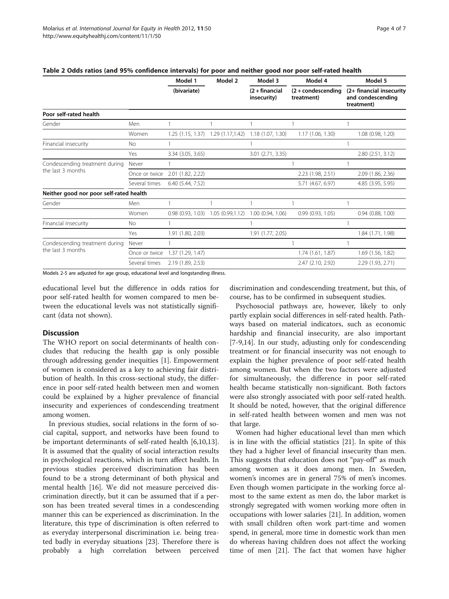|                                                     |               | Model 1           | Model 2 | Model 3                                               | Model 4                                    | Model 5                                                     |
|-----------------------------------------------------|---------------|-------------------|---------|-------------------------------------------------------|--------------------------------------------|-------------------------------------------------------------|
|                                                     |               | (bivariate)       |         | $(2 + financial)$<br>insecurity)                      | $(2 + \text{condescending})$<br>treatment) | (2+ financial insecurity<br>and condescending<br>treatment) |
| Poor self-rated health                              |               |                   |         |                                                       |                                            |                                                             |
| Gender                                              | Men           |                   |         |                                                       |                                            |                                                             |
|                                                     | Women         |                   |         | 1.25 (1.15, 1.37) 1.29 (1.17, 1.42) 1.18 (1.07, 1.30) | 1.17(1.06, 1.30)                           | 1.08(0.98, 1.20)                                            |
| Financial insecurity                                | No            |                   |         |                                                       |                                            |                                                             |
|                                                     | Yes           | 3.34 (3.05, 3.65) |         | 3.01 (2.71, 3.35)                                     |                                            | 2.80(2.51, 3.12)                                            |
| Condescending treatment during<br>the last 3 months | Never         |                   |         |                                                       |                                            |                                                             |
|                                                     | Once or twice | 2.01 (1.82, 2.22) |         |                                                       | 2.23 (1.98, 2.51)                          | 2.09 (1.86, 2.36)                                           |
|                                                     | Several times | 6.40 (5.44, 7.52) |         |                                                       | 5.71 (4.67, 6.97)                          | 4.85 (3.95, 5.95)                                           |
| Neither good nor poor self-rated health             |               |                   |         |                                                       |                                            |                                                             |
| Gender                                              | Men           |                   |         |                                                       |                                            |                                                             |
|                                                     | Women         |                   |         | 0.98 (0.93, 1.03) 1.05 (0.99, 1.12) 1.00 (0.94, 1.06) | 0.99(0.93, 1.05)                           | 0.94(0.88, 1.00)                                            |
| Financial insecurity                                | No            |                   |         |                                                       |                                            |                                                             |
|                                                     | Yes           | 1.91 (1.80, 2.03) |         | 1.91 (1.77, 2.05)                                     |                                            | 1.84 (1.71, 1.98)                                           |
| Condescending treatment during<br>the last 3 months | Never         |                   |         |                                                       |                                            |                                                             |
|                                                     | Once or twice | 1.37 (1.29, 1.47) |         |                                                       | 1.74(1.61, 1.87)                           | 1.69(1.56, 1.82)                                            |
|                                                     | Several times | 2.19 (1.89, 2.53) |         |                                                       | 2.47 (2.10, 2.92)                          | 2.29 (1.93, 2.71)                                           |
|                                                     |               |                   |         |                                                       |                                            |                                                             |

<span id="page-3-0"></span>

| Table 2 Odds ratios (and 95% confidence intervals) for poor and neither good nor poor self-rated health |  |  |
|---------------------------------------------------------------------------------------------------------|--|--|
|---------------------------------------------------------------------------------------------------------|--|--|

Models 2-5 are adjusted for age group, educational level and longstanding illness.

educational level but the difference in odds ratios for poor self-rated health for women compared to men between the educational levels was not statistically significant (data not shown).

## **Discussion**

The WHO report on social determinants of health concludes that reducing the health gap is only possible through addressing gender inequities [[1\]](#page-5-0). Empowerment of women is considered as a key to achieving fair distribution of health. In this cross-sectional study, the difference in poor self-rated health between men and women could be explained by a higher prevalence of financial insecurity and experiences of condescending treatment among women.

In previous studies, social relations in the form of social capital, support, and networks have been found to be important determinants of self-rated health [\[6,10,13](#page-5-0)]. It is assumed that the quality of social interaction results in psychological reactions, which in turn affect health. In previous studies perceived discrimination has been found to be a strong determinant of both physical and mental health [\[16](#page-5-0)]. We did not measure perceived discrimination directly, but it can be assumed that if a person has been treated several times in a condescending manner this can be experienced as discrimination. In the literature, this type of discrimination is often referred to as everyday interpersonal discrimination i.e. being treated badly in everyday situations [\[23](#page-5-0)]. Therefore there is probably a high correlation between perceived discrimination and condescending treatment, but this, of course, has to be confirmed in subsequent studies.

Psychosocial pathways are, however, likely to only partly explain social differences in self-rated health. Pathways based on material indicators, such as economic hardship and financial insecurity, are also important [[7-9,14](#page-5-0)]. In our study, adjusting only for condescending treatment or for financial insecurity was not enough to explain the higher prevalence of poor self-rated health among women. But when the two factors were adjusted for simultaneously, the difference in poor self-rated health became statistically non-significant. Both factors were also strongly associated with poor self-rated health. It should be noted, however, that the original difference in self-rated health between women and men was not that large.

Women had higher educational level than men which is in line with the official statistics [\[21](#page-5-0)]. In spite of this they had a higher level of financial insecurity than men. This suggests that education does not "pay-off" as much among women as it does among men. In Sweden, women's incomes are in general 75% of men's incomes. Even though women participate in the working force almost to the same extent as men do, the labor market is strongly segregated with women working more often in occupations with lower salaries [\[21](#page-5-0)]. In addition, women with small children often work part-time and women spend, in general, more time in domestic work than men do whereas having children does not affect the working time of men [[21\]](#page-5-0). The fact that women have higher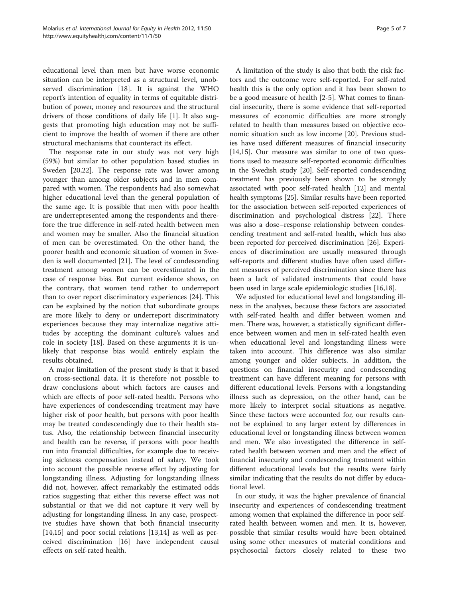educational level than men but have worse economic situation can be interpreted as a structural level, unobserved discrimination [[18\]](#page-5-0). It is against the WHO report's intention of equality in terms of equitable distribution of power, money and resources and the structural drivers of those conditions of daily life [\[1](#page-5-0)]. It also suggests that promoting high education may not be sufficient to improve the health of women if there are other structural mechanisms that counteract its effect.

The response rate in our study was not very high (59%) but similar to other population based studies in Sweden [[20,22\]](#page-5-0). The response rate was lower among younger than among older subjects and in men compared with women. The respondents had also somewhat higher educational level than the general population of the same age. It is possible that men with poor health are underrepresented among the respondents and therefore the true difference in self-rated health between men and women may be smaller. Also the financial situation of men can be overestimated. On the other hand, the poorer health and economic situation of women in Sweden is well documented [\[21](#page-5-0)]. The level of condescending treatment among women can be overestimated in the case of response bias. But current evidence shows, on the contrary, that women tend rather to underreport than to over report discriminatory experiences [\[24](#page-5-0)]. This can be explained by the notion that subordinate groups are more likely to deny or underreport discriminatory experiences because they may internalize negative attitudes by accepting the dominant culture's values and role in society [\[18\]](#page-5-0). Based on these arguments it is unlikely that response bias would entirely explain the results obtained.

A major limitation of the present study is that it based on cross-sectional data. It is therefore not possible to draw conclusions about which factors are causes and which are effects of poor self-rated health. Persons who have experiences of condescending treatment may have higher risk of poor health, but persons with poor health may be treated condescendingly due to their health status. Also, the relationship between financial insecurity and health can be reverse, if persons with poor health run into financial difficulties, for example due to receiving sickness compensation instead of salary. We took into account the possible reverse effect by adjusting for longstanding illness. Adjusting for longstanding illness did not, however, affect remarkably the estimated odds ratios suggesting that either this reverse effect was not substantial or that we did not capture it very well by adjusting for longstanding illness. In any case, prospective studies have shown that both financial insecurity [[14,15\]](#page-5-0) and poor social relations [[13,14\]](#page-5-0) as well as perceived discrimination [[16\]](#page-5-0) have independent causal effects on self-rated health.

A limitation of the study is also that both the risk factors and the outcome were self-reported. For self-rated health this is the only option and it has been shown to be a good measure of health [\[2-5](#page-5-0)]. What comes to financial insecurity, there is some evidence that self-reported measures of economic difficulties are more strongly related to health than measures based on objective economic situation such as low income [[20\]](#page-5-0). Previous studies have used different measures of financial insecurity [[14,15\]](#page-5-0). Our measure was similar to one of two questions used to measure self-reported economic difficulties in the Swedish study [\[20\]](#page-5-0). Self-reported condescending treatment has previously been shown to be strongly associated with poor self-rated health [[12\]](#page-5-0) and mental health symptoms [[25](#page-5-0)]. Similar results have been reported for the association between self-reported experiences of discrimination and psychological distress [[22\]](#page-5-0). There was also a dose–response relationship between condescending treatment and self-rated health, which has also been reported for perceived discrimination [[26\]](#page-6-0). Experiences of discrimination are usually measured through self-reports and different studies have often used different measures of perceived discrimination since there has been a lack of validated instruments that could have been used in large scale epidemiologic studies [[16,18\]](#page-5-0).

We adjusted for educational level and longstanding illness in the analyses, because these factors are associated with self-rated health and differ between women and men. There was, however, a statistically significant difference between women and men in self-rated health even when educational level and longstanding illness were taken into account. This difference was also similar among younger and older subjects. In addition, the questions on financial insecurity and condescending treatment can have different meaning for persons with different educational levels. Persons with a longstanding illness such as depression, on the other hand, can be more likely to interpret social situations as negative. Since these factors were accounted for, our results cannot be explained to any larger extent by differences in educational level or longstanding illness between women and men. We also investigated the difference in selfrated health between women and men and the effect of financial insecurity and condescending treatment within different educational levels but the results were fairly similar indicating that the results do not differ by educational level.

In our study, it was the higher prevalence of financial insecurity and experiences of condescending treatment among women that explained the difference in poor selfrated health between women and men. It is, however, possible that similar results would have been obtained using some other measures of material conditions and psychosocial factors closely related to these two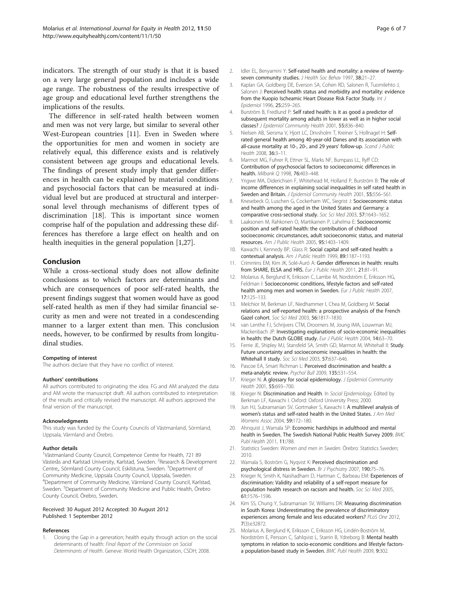<span id="page-5-0"></span>indicators. The strength of our study is that it is based on a very large general population and includes a wide age range. The robustness of the results irrespective of age group and educational level further strengthens the implications of the results.

The difference in self-rated health between women and men was not very large, but similar to several other West-European countries [11]. Even in Sweden where the opportunities for men and women in society are relatively equal, this difference exists and is relatively consistent between age groups and educational levels. The findings of present study imply that gender differences in health can be explained by material conditions and psychosocial factors that can be measured at individual level but are produced at structural and interpersonal level through mechanisms of different types of discrimination [18]. This is important since women comprise half of the population and addressing these differences has therefore a large effect on health and on health inequities in the general population [1,[27](#page-6-0)].

## Conclusion

While a cross-sectional study does not allow definite conclusions as to which factors are determinants and which are consequences of poor self-rated health, the present findings suggest that women would have as good self-rated health as men if they had similar financial security as men and were not treated in a condescending manner to a larger extent than men. This conclusion needs, however, to be confirmed by results from longitudinal studies.

#### Competing of interest

The authors declare that they have no conflict of interest.

#### Authors' contributions

All authors contributed to originating the idea. FG and AM analyzed the data and AM wrote the manuscript draft. All authors contributed to interpretation of the results and critically revised the manuscript. All authors approved the final version of the manuscript.

#### Acknowledgments

This study was funded by the County Councils of Västmanland, Sörmland, Uppsala, Värmland and Örebro.

#### Author details

1 Västmanland County Council, Competence Centre for Health, 721 89 Västerås and Karlstad University, Karlstad, Sweden. <sup>2</sup>Research & Development Centre,, Sörmland County Council, Eskilstuna, Sweden. <sup>3</sup>Department of Community Medicine, Uppsala County Council, Uppsala, Sweden. 4 Department of Community Medicine, Värmland County Council, Karlstad, Sweden. <sup>5</sup>Department of Community Medicine and Public Health, Örebro County Council, Örebro, Sweden.

#### Received: 30 August 2012 Accepted: 30 August 2012 Published: 1 September 2012

#### References

1. Closing the Gap in a generation; health equity through action on the social determinants of health: Final Report of the Commission on Social Determinants of Health. Geneve: World Health Organization, CSDH; 2008.

- 2. Idler EL, Benyamini Y: Self-rated health and mortality: a review of twentyseven community studies. J Health Soc Behav 1997, 38:21-27.
- 3. Kaplan GA, Goldberg DE, Everson SA, Cohen RD, Salonen R, Tuomilehto J, Salonen J: Perceived health status and morbidity and mortality: evidence from the Kuopio Ischeamic Heart Disease Risk Factor Study. Int J Epidemiol 1996, 25:259–265.
- 4. Burström B, Fredlund P: Self rated health: is it as good a predictor of subsequent mortality among adults in lower as well as in higher social classes? J Epidemiol Community Health 2001, 55:836–840.
- 5. Nielsen AB, Siersma V, Hjort LC, Drivsholm T, Kreiner S, Hollnagel H: Selfrated general health among 40-year-old Danes and its association with all-cause mortality at 10-, 20-, and 29 years' follow-up. Scand J Public Health 2008, 36:3–11.
- 6. Marmot MG, Fuhrer R, Ettner SL, Marks NF, Bumpass LL, Ryff CD: Contribution of psychosocial factors to socioeconomic differences in health. Milbank Q 1998, 76:403–448.
- 7. Yngwe MA, Diderichsen F, Whitehead M, Holland P, Burström B: The role of income differences in explaining social inequalities in self rated health in Sweden and Britain. J Epidemiol Community Health 2001, 55:556-561.
- 8. Knesebeck O, Luschen G, Cockerham WC, Siegrist J: Socioeconomic status and health among the aged in the United States and Germany: a comparative cross-sectional study. Soc Sci Med 2003, 57:1643–1652.
- 9. Laaksonen M, Rahkonen O, Martikainen P, Lahelma E: Socioeconomic position and self-rated health: the contribution of childhood socioeconomic circumstances, adult socioeconomic status, and material resources. Am J Public Health 2005, 95:1403–1409.
- 10. Kawachi I, Kennedy BP, Glass R: Social capital and self-rated health: a contextual analysis. Am J Public Health 1999, 89:1187–1193.
- 11. Crimmins EM, Kim JK, Solé-Auró A: Gender differences in health: results from SHARE, ELSA and HRS. Eur J Public Health 2011, 21:81–91.
- 12. Molarius A, Berglund K, Eriksson C, Lambe M, Nordström E, Eriksson HG, Feldman I: Socioeconomic conditions, lifestyle factors and self-rated health among men and women in Sweden. Eur J Public Health 2007, 17:125–133.
- 13. Melchior M, Berkman LF, Niedhammer I, Chea M, Goldberg M: Social relations and self-reported health: a prospective analysis of the French Gazel cohort. Soc Sci Med 2003, 56:1817–1830.
- 14. van Lenthe FJ, Schrijvers CTM, Droomers M, Joung IMA, Louwman MJ, Mackenbach JP: Investigating explanations of socio-economic inequalities in health: the Dutch GLOBE study. Eur J Public Health 2004, 14:63-70.
- 15. Ferrie JE, Shipley MJ, Stansfeld SA, Smith GD, Marmot M, Whitehall II: Study. Future uncertainty and socioeconomic inequalities in health: the Whitehall II study. Soc Sci Med 2003, 57:637-646.
- 16. Pascoe EA, Smart Richman L: Perceived discrimination and health: a meta-analytic review. Psychol Bull 2009, 135:531–554.
- 17. Krieger N: A glossary for social epidemiology. J Epidemiol Community Health 2001, 55:693–700.
- 18. Krieger N: Discrimination and Health. In Social Epidemiology. Edited by Berkman LF, Kawachi I. Oxford: Oxford University Press; 2000.
- 19. Jun HJ, Subramanian SV, Gortmaker S, Kawachi I: A multilevel analysis of women's status and self-rated health in the United States. J Am Med Womens Assoc 2004, 59:172–180.
- 20. Ahnquist J, Wamala SP: Economic hardships in adulthood and mental health in Sweden. The Swedish National Public Health Survey 2009. BMC Publ Health 2011, 11:788.
- 21. Statistics Sweden: Women and men in Sweden. Örebro: Statistics Sweden: 2010.
- 22. Wamala S, Boström G, Nyqvist K: Perceived discrimination and psychological distress in Sweden. Br J Psychiatry 2007, 190:75–76.
- 23. Krieger N, Smith K, Naishadham D, Hartman C, Barbeau EM: Experiences of discrimination: Validity and reliability of a self-report measure for population health research on racsism and health. Soc Sci Med 2005, 61:1576–1596.
- 24. Kim SS, Chung Y, Subramanian SV, Williams DR: Measuring discrimination in South Korea: Underestimating the prevalence of discriminatory experiences among female and less educated workers? PLoS One 2012, 7(3):e32872.
- 25. Molarius A, Berglund K, Eriksson C, Eriksson HG, Lindén-Boström M, Nordström E, Persson C, Sahlqvist L, Starrin B, Ydreborg B: Mental health symptoms in relation to socio-economic conditions and lifestyle factorsa population-based study in Sweden. BMC Publ Health 2009, 9:302.